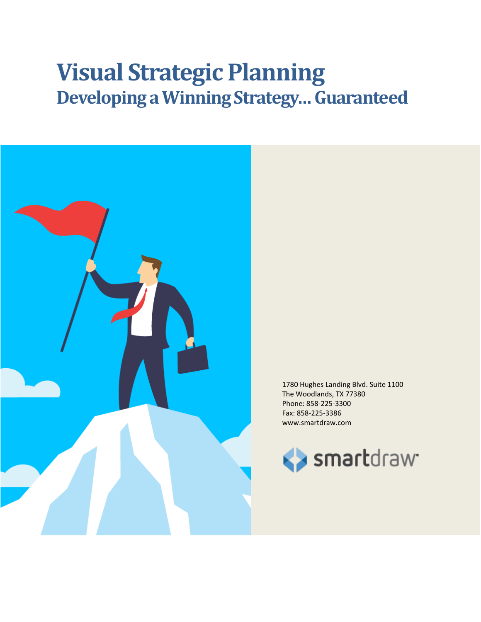# **Visual Strategic Planning Developing a Winning Strategy… Guaranteed**



1780 Hughes Landing Blvd. Suite 1100 The Woodlands, TX 77380 Phone: 858-225-3300 Fax: 858-225-3386 www.smartdraw.com

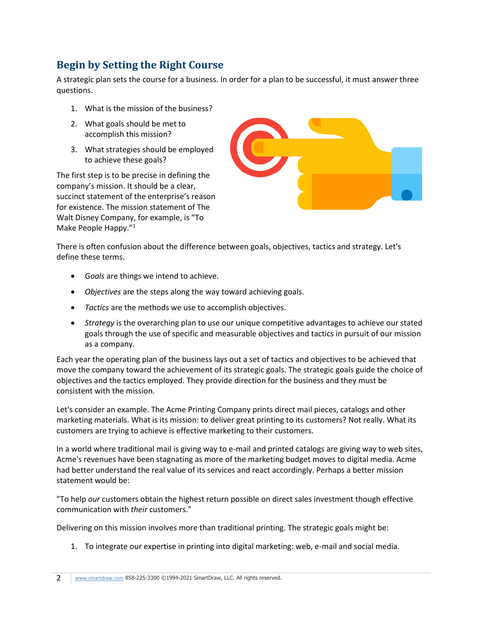## **Begin by Setting the Right Course**

A strategic plan sets the course for a business. In order for a plan to be successful, it must answer three questions.

- 1. What is the mission of the business?
- 2. What goals should be met to accomplish this mission?
- 3. What strategies should be employed to achieve these goals?

The first step is to be precise in defining the company's mission. It should be a clear, succinct statement of the enterprise's reason for existence. The mission statement of The Walt Disney Company, for example, is "To Make People Happy."<sup>1</sup>



There is often confusion about the difference between goals, objectives, tactics and strategy. Let's define these terms.

- *Goals* are things we intend to achieve.
- *Objectives* are the steps along the way toward achieving goals.
- *Tactics* are the methods we use to accomplish objectives.
- *Strategy* is the overarching plan to use our unique competitive advantages to achieve our stated goals through the use of specific and measurable objectives and tactics in pursuit of our mission as a company.

Each year the operating plan of the business lays out a set of tactics and objectives to be achieved that move the company toward the achievement of its strategic goals. The strategic goals guide the choice of objectives and the tactics employed. They provide direction for the business and they must be consistent with the mission.

Let's consider an example. The Acme Printing Company prints direct mail pieces, catalogs and other marketing materials. What is its mission: to deliver great printing to its customers? Not really. What its customers are trying to achieve is effective marketing to their customers.

In a world where traditional mail is giving way to e-mail and printed catalogs are giving way to web sites, Acme's revenues have been stagnating as more of the marketing budget moves to digital media. Acme had better understand the real value of its services and react accordingly. Perhaps a better mission statement would be:

"To help *our* customers obtain the highest return possible on direct sales investment though effective communication with *their* customers."

Delivering on this mission involves more than traditional printing. The strategic goals might be:

1. To integrate our expertise in printing into digital marketing: web, e-mail and social media.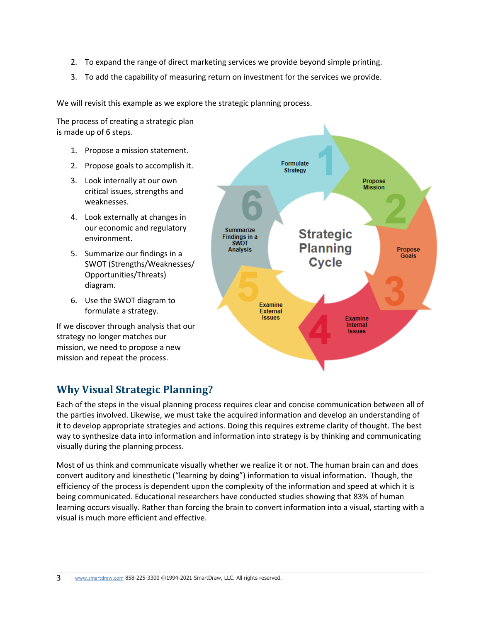- 2. To expand the range of direct marketing services we provide beyond simple printing.
- 3. To add the capability of measuring return on investment for the services we provide.

We will revisit this example as we explore the strategic planning process.

The process of creating a strategic plan is made up of 6 steps.

- 1. Propose a mission statement.
- 2. Propose goals to accomplish it.
- 3. Look internally at our own critical issues, strengths and weaknesses.
- 4. Look externally at changes in our economic and regulatory environment.
- 5. Summarize our findings in a SWOT (Strengths/Weaknesses/ Opportunities/Threats) diagram.
- 6. Use the SWOT diagram to formulate a strategy.

If we discover through analysis that our strategy no longer matches our mission, we need to propose a new mission and repeat the process.



## **Why Visual Strategic Planning?**

Each of the steps in the visual planning process requires clear and concise communication between all of the parties involved. Likewise, we must take the acquired information and develop an understanding of it to develop appropriate strategies and actions. Doing this requires extreme clarity of thought. The best way to synthesize data into information and information into strategy is by thinking and communicating visually during the planning process.

Most of us think and communicate visually whether we realize it or not. The human brain can and does convert auditory and kinesthetic ("learning by doing") information to visual information. Though, the efficiency of the process is dependent upon the complexity of the information and speed at which it is being communicated. Educational researchers have conducted studies showing that 83% of human learning occurs visually. Rather than forcing the brain to convert information into a visual, starting with a visual is much more efficient and effective.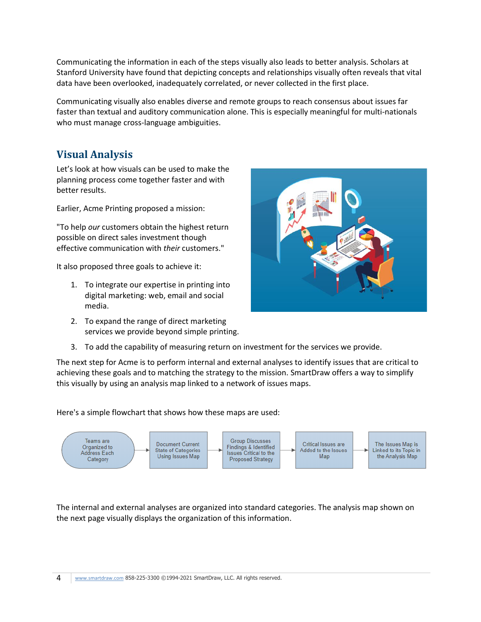Communicating the information in each of the steps visually also leads to better analysis. Scholars at Stanford University have found that depicting concepts and relationships visually often reveals that vital data have been overlooked, inadequately correlated, or never collected in the first place.

Communicating visually also enables diverse and remote groups to reach consensus about issues far faster than textual and auditory communication alone. This is especially meaningful for multi-nationals who must manage cross-language ambiguities.

## **Visual Analysis**

Let's look at how visuals can be used to make the planning process come together faster and with better results.

Earlier, Acme Printing proposed a mission:

"To help *our* customers obtain the highest return possible on direct sales investment though effective communication with *their* customers."

It also proposed three goals to achieve it:

- 1. To integrate our expertise in printing into digital marketing: web, email and social media.
- 2. To expand the range of direct marketing services we provide beyond simple printing.



3. To add the capability of measuring return on investment for the services we provide.

The next step for Acme is to perform internal and external analyses to identify issues that are critical to achieving these goals and to matching the strategy to the mission. SmartDraw offers a way to simplify this visually by using an analysis map linked to a network of issues maps.

Here's a simple flowchart that shows how these maps are used:



The internal and external analyses are organized into standard categories. The analysis map shown on the next page visually displays the organization of this information.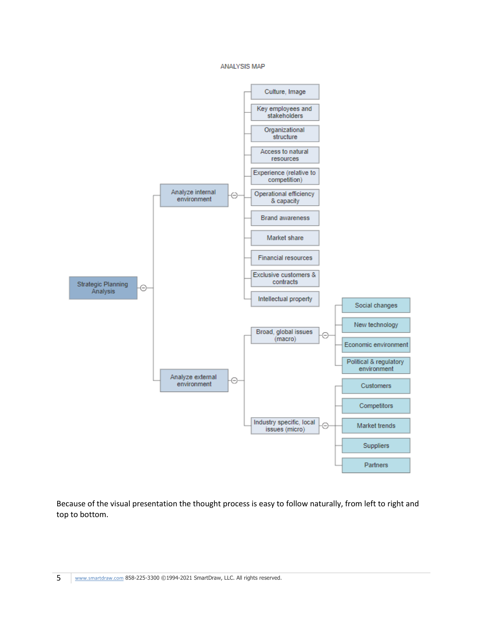#### ANALYSIS MAP



Because of the visual presentation the thought process is easy to follow naturally, from left to right and top to bottom.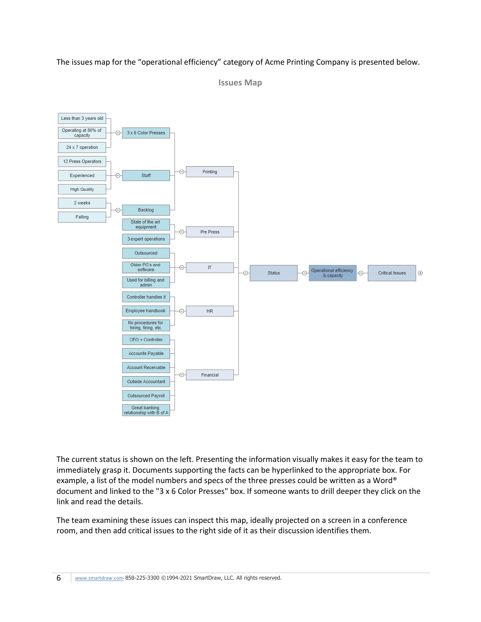#### The issues map for the "operational efficiency" category of Acme Printing Company is presented below.



**Issues Map**

The current status is shown on the left. Presenting the information visually makes it easy for the team to immediately grasp it. Documents supporting the facts can be hyperlinked to the appropriate box. For example, a list of the model numbers and specs of the three presses could be written as a Word® document and linked to the "3 x 6 Color Presses" box. If someone wants to drill deeper they click on the link and read the details.

The team examining these issues can inspect this map, ideally projected on a screen in a conference room, and then add critical issues to the right side of it as their discussion identifies them.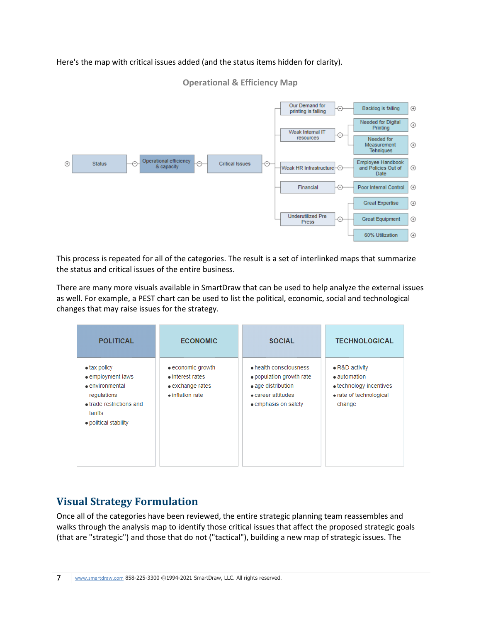### Here's the map with critical issues added (and the status items hidden for clarity).

#### **Operational & Efficiency Map**



This process is repeated for all of the categories. The result is a set of interlinked maps that summarize the status and critical issues of the entire business.

There are many more visuals available in SmartDraw that can be used to help analyze the external issues as well. For example, a PEST chart can be used to list the political, economic, social and technological changes that may raise issues for the strategy.

| <b>POLITICAL</b>                                                                                                                                    | <b>ECONOMIC</b>                                                                               | <b>SOCIAL</b>                                                                                                          | <b>TECHNOLOGICAL</b>                                                                                   |
|-----------------------------------------------------------------------------------------------------------------------------------------------------|-----------------------------------------------------------------------------------------------|------------------------------------------------------------------------------------------------------------------------|--------------------------------------------------------------------------------------------------------|
| $\bullet$ tax policy<br>• employment laws<br>$\bullet$ environmental<br>regulations<br>• trade restrictions and<br>tariffs<br>· political stability | $\bullet$ economic growth<br>• interest rates<br>• exchange rates<br>$\bullet$ inflation rate | • health consciousness<br>. population growth rate<br>• age distribution<br>• career attitudes<br>• emphasis on safety | • R&D activity<br>• automation<br>$\bullet$ technology incentives<br>• rate of technological<br>change |

## **Visual Strategy Formulation**

Once all of the categories have been reviewed, the entire strategic planning team reassembles and walks through the analysis map to identify those critical issues that affect the proposed strategic goals (that are "strategic") and those that do not ("tactical"), building a new map of strategic issues. The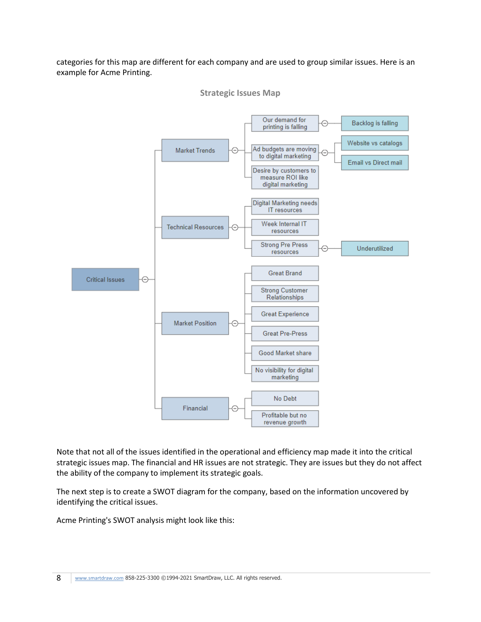categories for this map are different for each company and are used to group similar issues. Here is an example for Acme Printing.





Note that not all of the issues identified in the operational and efficiency map made it into the critical strategic issues map. The financial and HR issues are not strategic. They are issues but they do not affect the ability of the company to implement its strategic goals.

The next step is to create a SWOT diagram for the company, based on the information uncovered by identifying the critical issues.

Acme Printing's SWOT analysis might look like this: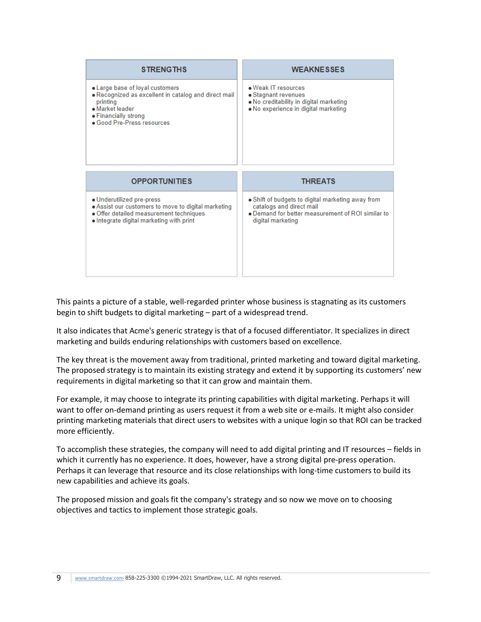| <b>STRENGTHS</b>                                                                                                                                                             | <b>WEAKNESSES</b>                                                                                                             |  |
|------------------------------------------------------------------------------------------------------------------------------------------------------------------------------|-------------------------------------------------------------------------------------------------------------------------------|--|
| • Large base of loyal customers<br>. Recognized as excellent in catalog and direct mail<br>printing<br>· Market leader<br>• Financially strong<br>· Good Pre-Press resources | . Weak IT resources<br>• Stagnant revenues<br>. No creditability in digital marketing<br>. No experience in digital marketing |  |
|                                                                                                                                                                              |                                                                                                                               |  |
|                                                                                                                                                                              |                                                                                                                               |  |
| <b>OPPORTUNITIES</b>                                                                                                                                                         | <b>THREATS</b>                                                                                                                |  |

This paints a picture of a stable, well-regarded printer whose business is stagnating as its customers begin to shift budgets to digital marketing – part of a widespread trend.

It also indicates that Acme's generic strategy is that of a focused differentiator. It specializes in direct marketing and builds enduring relationships with customers based on excellence.

The key threat is the movement away from traditional, printed marketing and toward digital marketing. The proposed strategy is to maintain its existing strategy and extend it by supporting its customers' new requirements in digital marketing so that it can grow and maintain them.

For example, it may choose to integrate its printing capabilities with digital marketing. Perhaps it will want to offer on-demand printing as users request it from a web site or e-mails. It might also consider printing marketing materials that direct users to websites with a unique login so that ROI can be tracked more efficiently.

To accomplish these strategies, the company will need to add digital printing and IT resources – fields in which it currently has no experience. It does, however, have a strong digital pre-press operation. Perhaps it can leverage that resource and its close relationships with long-time customers to build its new capabilities and achieve its goals.

The proposed mission and goals fit the company's strategy and so now we move on to choosing objectives and tactics to implement those strategic goals.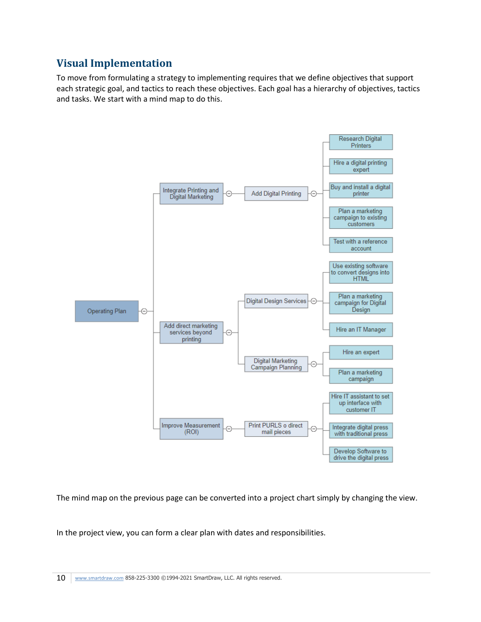## **Visual Implementation**

To move from formulating a strategy to implementing requires that we define objectives that support each strategic goal, and tactics to reach these objectives. Each goal has a hierarchy of objectives, tactics and tasks. We start with a mind map to do this.



The mind map on the previous page can be converted into a project chart simply by changing the view.

In the project view, you can form a clear plan with dates and responsibilities.